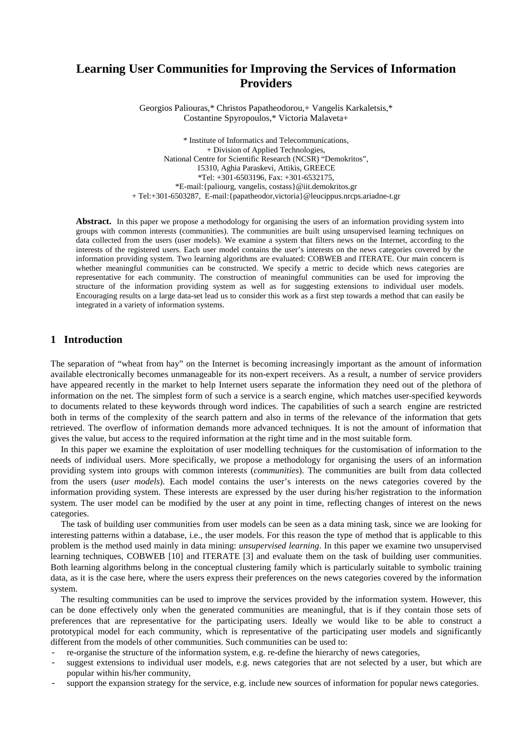# **Learning User Communities for Improving the Services of Information Providers**

Georgios Paliouras,\* Christos Papatheodorou,+ Vangelis Karkaletsis,\* Costantine Spyropoulos,\* Victoria Malaveta+

\* Institute of Informatics and Telecommunications, + Division of Applied Technologies, National Centre for Scientific Research (NCSR) "Demokritos", 15310, Aghia Paraskevi, Attikis, GREECE \*Tel: +301-6503196, Fax: +301-6532175, \*E-mail:{paliourg, vangelis, costass}@iit.demokritos.gr + Tel:+301-6503287, E-mail:{papatheodor,victoria}@leucippus.nrcps.ariadne-t.gr

Abstract. In this paper we propose a methodology for organising the users of an information providing system into groups with common interests (communities). The communities are built using unsupervised learning techniques on data collected from the users (user models). We examine a system that filters news on the Internet, according to the interests of the registered users. Each user model contains the user's interests on the news categories covered by the information providing system. Two learning algorithms are evaluated: COBWEB and ITERATE. Our main concern is whether meaningful communities can be constructed. We specify a metric to decide which news categories are representative for each community. The construction of meaningful communities can be used for improving the structure of the information providing system as well as for suggesting extensions to individual user models. Encouraging results on a large data-set lead us to consider this work as a first step towards a method that can easily be integrated in a variety of information systems.

## **1 Introduction**

The separation of "wheat from hay" on the Internet is becoming increasingly important as the amount of information available electronically becomes unmanageable for its non-expert receivers. As a result, a number of service providers have appeared recently in the market to help Internet users separate the information they need out of the plethora of information on the net. The simplest form of such a service is a search engine, which matches user-specified keywords to documents related to these keywords through word indices. The capabilities of such a search engine are restricted both in terms of the complexity of the search pattern and also in terms of the relevance of the information that gets retrieved. The overflow of information demands more advanced techniques. It is not the amount of information that gives the value, but access to the required information at the right time and in the most suitable form.

In this paper we examine the exploitation of user modelling techniques for the customisation of information to the needs of individual users. More specifically, we propose a methodology for organising the users of an information providing system into groups with common interests (*communities*). The communities are built from data collected from the users (*user models*). Each model contains the user's interests on the news categories covered by the information providing system. These interests are expressed by the user during his/her registration to the information system. The user model can be modified by the user at any point in time, reflecting changes of interest on the news categories.

The task of building user communities from user models can be seen as a data mining task, since we are looking for interesting patterns within a database, i.e., the user models. For this reason the type of method that is applicable to this problem is the method used mainly in data mining: *unsupervised learning*. In this paper we examine two unsupervised learning techniques, COBWEB [10] and ITERATE [3] and evaluate them on the task of building user communities. Both learning algorithms belong in the conceptual clustering family which is particularly suitable to symbolic training data, as it is the case here, where the users express their preferences on the news categories covered by the information system.

The resulting communities can be used to improve the services provided by the information system. However, this can be done effectively only when the generated communities are meaningful, that is if they contain those sets of preferences that are representative for the participating users. Ideally we would like to be able to construct a prototypical model for each community, which is representative of the participating user models and significantly different from the models of other communities. Such communities can be used to:

- re-organise the structure of the information system, e.g. re-define the hierarchy of news categories,
- suggest extensions to individual user models, e.g. news categories that are not selected by a user, but which are popular within his/her community,
- support the expansion strategy for the service, e.g. include new sources of information for popular news categories.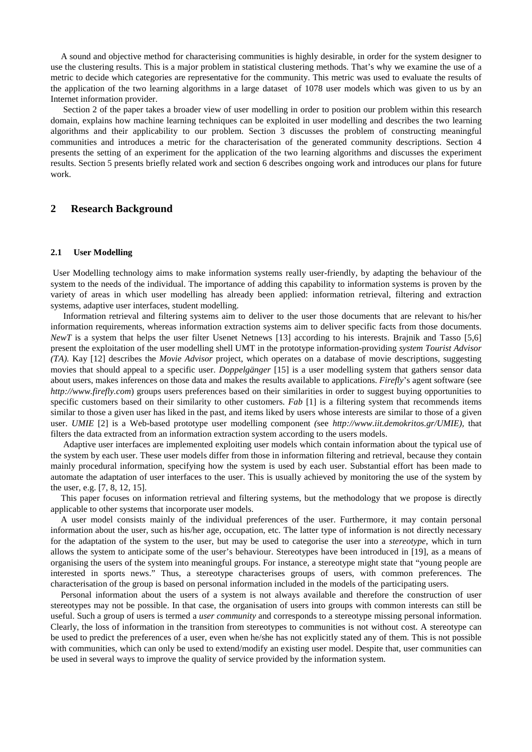A sound and objective method for characterising communities is highly desirable, in order for the system designer to use the clustering results. This is a major problem in statistical clustering methods. That's why we examine the use of a metric to decide which categories are representative for the community. This metric was used to evaluate the results of the application of the two learning algorithms in a large dataset of 1078 user models which was given to us by an Internet information provider.

 Section 2 of the paper takes a broader view of user modelling in order to position our problem within this research domain, explains how machine learning techniques can be exploited in user modelling and describes the two learning algorithms and their applicability to our problem. Section 3 discusses the problem of constructing meaningful communities and introduces a metric for the characterisation of the generated community descriptions. Section 4 presents the setting of an experiment for the application of the two learning algorithms and discusses the experiment results. Section 5 presents briefly related work and section 6 describes ongoing work and introduces our plans for future work.

### **2 Research Background**

### **2.1 User Modelling**

 User Modelling technology aims to make information systems really user-friendly, by adapting the behaviour of the system to the needs of the individual. The importance of adding this capability to information systems is proven by the variety of areas in which user modelling has already been applied: information retrieval, filtering and extraction systems, adaptive user interfaces, student modelling.

Information retrieval and filtering systems aim to deliver to the user those documents that are relevant to his/her information requirements, whereas information extraction systems aim to deliver specific facts from those documents. *NewT* is a system that helps the user filter Usenet Netnews [13] according to his interests. Brajnik and Tasso [5,6] present the exploitation of the user modelling shell UMT in the prototype information-providing *system Tourist Advisor (TA).* Kay [12] describes the *Movie Advisor* project, which operates on a database of movie descriptions, suggesting movies that should appeal to a specific user. *Doppelgänger* [15] is a user modelling system that gathers sensor data about users, makes inferences on those data and makes the results available to applications. *Firefly*'s agent software (see *http://www.firefly.com*) groups users preferences based on their similarities in order to suggest buying opportunities to specific customers based on their similarity to other customers. *Fab* [1] is a filtering system that recommends items similar to those a given user has liked in the past, and items liked by users whose interests are similar to those of a given user. *UMIE* [2] is a Web-based prototype user modelling component *(*see *http://www.iit.demokritos.gr/UMIE),* that filters the data extracted from an information extraction system according to the users models.

Adaptive user interfaces are implemented exploiting user models which contain information about the typical use of the system by each user. These user models differ from those in information filtering and retrieval, because they contain mainly procedural information, specifying how the system is used by each user. Substantial effort has been made to automate the adaptation of user interfaces to the user. This is usually achieved by monitoring the use of the system by the user, e.g. [7, 8, 12, 15].

This paper focuses on information retrieval and filtering systems, but the methodology that we propose is directly applicable to other systems that incorporate user models.

A user model consists mainly of the individual preferences of the user. Furthermore, it may contain personal information about the user, such as his/her age, occupation, etc. The latter type of information is not directly necessary for the adaptation of the system to the user, but may be used to categorise the user into a *stereotype*, which in turn allows the system to anticipate some of the user's behaviour. Stereotypes have been introduced in [19], as a means of organising the users of the system into meaningful groups. For instance, a stereotype might state that "young people are interested in sports news." Thus, a stereotype characterises groups of users, with common preferences. The characterisation of the group is based on personal information included in the models of the participating users.

Personal information about the users of a system is not always available and therefore the construction of user stereotypes may not be possible. In that case, the organisation of users into groups with common interests can still be useful. Such a group of users is termed a *user community* and corresponds to a stereotype missing personal information. Clearly, the loss of information in the transition from stereotypes to communities is not without cost. A stereotype can be used to predict the preferences of a user, even when he/she has not explicitly stated any of them. This is not possible with communities, which can only be used to extend/modify an existing user model. Despite that, user communities can be used in several ways to improve the quality of service provided by the information system.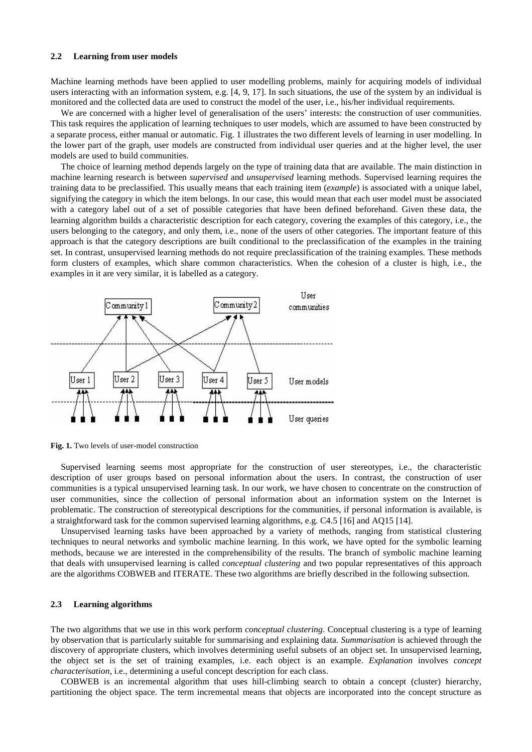#### **2.2 Learning from user models**

Machine learning methods have been applied to user modelling problems, mainly for acquiring models of individual users interacting with an information system, e.g. [4, 9, 17]. In such situations, the use of the system by an individual is monitored and the collected data are used to construct the model of the user, i.e., his/her individual requirements.

We are concerned with a higher level of generalisation of the users' interests: the construction of user communities. This task requires the application of learning techniques to user models, which are assumed to have been constructed by a separate process, either manual or automatic. Fig. 1 illustrates the two different levels of learning in user modelling. In the lower part of the graph, user models are constructed from individual user queries and at the higher level, the user models are used to build communities.

The choice of learning method depends largely on the type of training data that are available. The main distinction in machine learning research is between *supervised* and *unsupervised* learning methods. Supervised learning requires the training data to be preclassified. This usually means that each training item (*example*) is associated with a unique label, signifying the category in which the item belongs. In our case, this would mean that each user model must be associated with a category label out of a set of possible categories that have been defined beforehand. Given these data, the learning algorithm builds a characteristic description for each category, covering the examples of this category, i.e., the users belonging to the category, and only them, i.e., none of the users of other categories. The important feature of this approach is that the category descriptions are built conditional to the preclassification of the examples in the training set. In contrast, unsupervised learning methods do not require preclassification of the training examples. These methods form clusters of examples, which share common characteristics. When the cohesion of a cluster is high, i.e., the examples in it are very similar, it is labelled as a category.



**Fig. 1.** Two levels of user-model construction

Supervised learning seems most appropriate for the construction of user stereotypes, i.e., the characteristic description of user groups based on personal information about the users. In contrast, the construction of user communities is a typical unsupervised learning task. In our work, we have chosen to concentrate on the construction of user communities, since the collection of personal information about an information system on the Internet is problematic. The construction of stereotypical descriptions for the communities, if personal information is available, is a straightforward task for the common supervised learning algorithms, e.g. C4.5 [16] and AQ15 [14].

Unsupervised learning tasks have been approached by a variety of methods, ranging from statistical clustering techniques to neural networks and symbolic machine learning. In this work, we have opted for the symbolic learning methods, because we are interested in the comprehensibility of the results. The branch of symbolic machine learning that deals with unsupervised learning is called *conceptual clustering* and two popular representatives of this approach are the algorithms COBWEB and ITERATE. These two algorithms are briefly described in the following subsection.

#### **2.3 Learning algorithms**

The two algorithms that we use in this work perform *conceptual clustering*. Conceptual clustering is a type of learning by observation that is particularly suitable for summarising and explaining data. *Summarisation* is achieved through the discovery of appropriate clusters, which involves determining useful subsets of an object set. In unsupervised learning, the object set is the set of training examples, i.e. each object is an example. *Explanation* involves *concept characterisation*, i.e., determining a useful concept description for each class.

COBWEB is an incremental algorithm that uses hill-climbing search to obtain a concept (cluster) hierarchy, partitioning the object space. The term incremental means that objects are incorporated into the concept structure as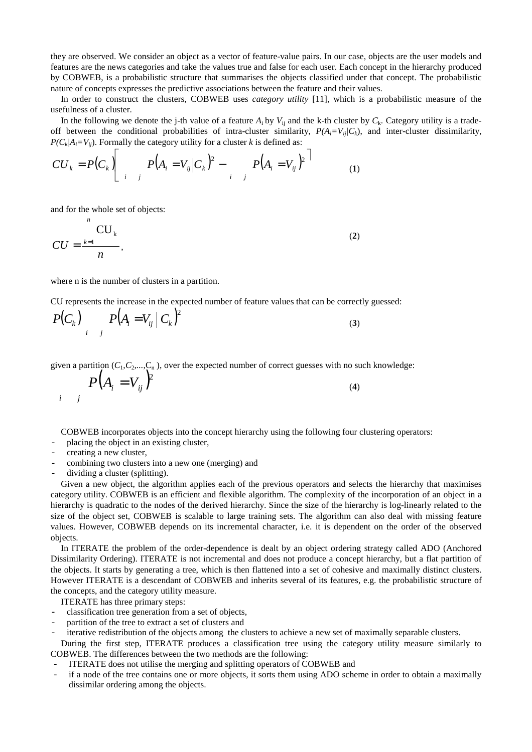they are observed. We consider an object as a vector of feature-value pairs. In our case, objects are the user models and features are the news categories and take the values true and false for each user. Each concept in the hierarchy produced by COBWEB, is a probabilistic structure that summarises the objects classified under that concept. The probabilistic nature of concepts expresses the predictive associations between the feature and their values.

In order to construct the clusters, COBWEB uses *category utility* [11], which is a probabilistic measure of the usefulness of a cluster.

In the following we denote the j-th value of a feature  $A_i$  by  $V_{ij}$  and the k-th cluster by  $C_k$ . Category utility is a tradeoff between the conditional probabilities of intra-cluster similarity,  $P(A_i=V_{ii}/C_k)$ , and inter-cluster dissimilarity,  $P(C_k|A_i=V_i)$ . Formally the category utility for a cluster *k* is defined as:

$$
CU_{k} = P(C_{k}) \left[ P(A_{i} = V_{ij} | C_{k})^{2} - P(A_{i} = V_{ij})^{2} \right]
$$
 (1)

and for the whole set of objects:

$$
CU = \frac{{\sum_{k=1}^{n} CU_k}}{n},
$$
\n(2)

where n is the number of clusters in a partition.

CU represents the increase in the expected number of feature values that can be correctly guessed:

$$
P(C_k) \int_{i}^{i} P(A_i = V_{ij} | C_k)^2
$$
 (3)

given a partition (*C*1*,C*2*,...,*Cn ), over the expected number of correct guesses with no such knowledge:

$$
P(A_i = V_{ij})^2 \tag{4}
$$

COBWEB incorporates objects into the concept hierarchy using the following four clustering operators:

- placing the object in an existing cluster,
- creating a new cluster,
- combining two clusters into a new one (merging) and
- dividing a cluster (splitting).

Given a new object, the algorithm applies each of the previous operators and selects the hierarchy that maximises category utility. COBWEB is an efficient and flexible algorithm. The complexity of the incorporation of an object in a hierarchy is quadratic to the nodes of the derived hierarchy. Since the size of the hierarchy is log-linearly related to the size of the object set, COBWEB is scalable to large training sets. The algorithm can also deal with missing feature values. However, COBWEB depends on its incremental character, i.e. it is dependent on the order of the observed objects.

In ITERATE the problem of the order-dependence is dealt by an object ordering strategy called ADO (Anchored Dissimilarity Ordering). ITERATE is not incremental and does not produce a concept hierarchy, but a flat partition of the objects. It starts by generating a tree, which is then flattened into a set of cohesive and maximally distinct clusters. However ITERATE is a descendant of COBWEB and inherits several of its features, e.g. the probabilistic structure of the concepts, and the category utility measure.

ITERATE has three primary steps:

- classification tree generation from a set of objects,
- partition of the tree to extract a set of clusters and
- iterative redistribution of the objects among the clusters to achieve a new set of maximally separable clusters.

During the first step, ITERATE produces a classification tree using the category utility measure similarly to COBWEB. The differences between the two methods are the following:

- ITERATE does not utilise the merging and splitting operators of COBWEB and
- if a node of the tree contains one or more objects, it sorts them using ADO scheme in order to obtain a maximally dissimilar ordering among the objects.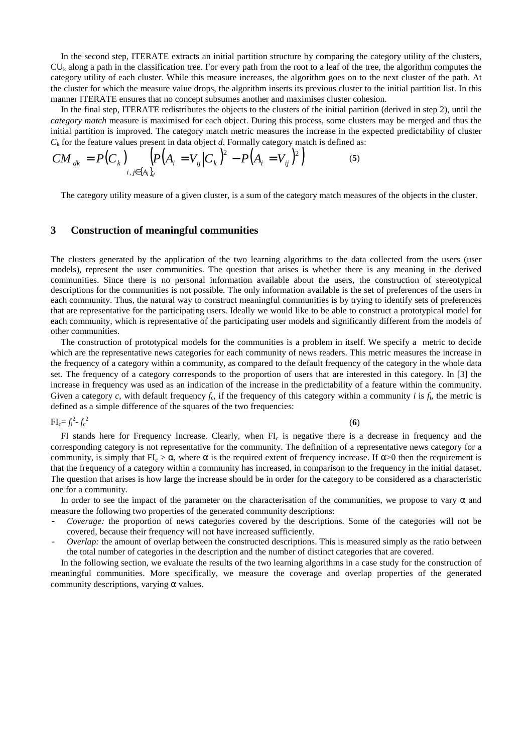In the second step, ITERATE extracts an initial partition structure by comparing the category utility of the clusters,  $CU<sub>k</sub>$  along a path in the classification tree. For every path from the root to a leaf of the tree, the algorithm computes the category utility of each cluster. While this measure increases, the algorithm goes on to the next cluster of the path. At the cluster for which the measure value drops, the algorithm inserts its previous cluster to the initial partition list. In this manner ITERATE ensures that no concept subsumes another and maximises cluster cohesion.

In the final step, ITERATE redistributes the objects to the clusters of the initial partition (derived in step 2), until the *category match* measure is maximised for each object. During this process, some clusters may be merged and thus the initial partition is improved. The category match metric measures the increase in the expected predictability of cluster  $C_k$  for the feature values present in data object *d*. Formally category match is defined as:

$$
CM_{dk} = P(C_k) \bigg[ P(A_i = V_{ij} | C_k)^2 - P(A_i = V_{ij})^2 \bigg]
$$
 (5)

The category utility measure of a given cluster, is a sum of the category match measures of the objects in the cluster.

### **3 Construction of meaningful communities**

The clusters generated by the application of the two learning algorithms to the data collected from the users (user models), represent the user communities. The question that arises is whether there is any meaning in the derived communities. Since there is no personal information available about the users, the construction of stereotypical descriptions for the communities is not possible. The only information available is the set of preferences of the users in each community. Thus, the natural way to construct meaningful communities is by trying to identify sets of preferences that are representative for the participating users. Ideally we would like to be able to construct a prototypical model for each community, which is representative of the participating user models and significantly different from the models of other communities.

The construction of prototypical models for the communities is a problem in itself. We specify a metric to decide which are the representative news categories for each community of news readers. This metric measures the increase in the frequency of a category within a community, as compared to the default frequency of the category in the whole data set. The frequency of a category corresponds to the proportion of users that are interested in this category. In [3] the increase in frequency was used as an indication of the increase in the predictability of a feature within the community. Given a category *c*, with default frequency  $f_c$ , if the frequency of this category within a community *i* is  $f_i$ , the metric is defined as a simple difference of the squares of the two frequencies:

$$
FI_c=f_i^2-f_c^2\tag{6}
$$

FI stands here for Frequency Increase. Clearly, when FI<sub>c</sub> is negative there is a decrease in frequency and the corresponding category is not representative for the community. The definition of a representative news category for a community, is simply that  $FI_c > \alpha$ , where  $\alpha$  is the required extent of frequency increase. If  $\alpha > 0$  then the requirement is that the frequency of a category within a community has increased, in comparison to the frequency in the initial dataset. The question that arises is how large the increase should be in order for the category to be considered as a characteristic one for a community.

In order to see the impact of the parameter on the characterisation of the communities, we propose to vary  $\alpha$  and measure the following two properties of the generated community descriptions:

- *Coverage:* the proportion of news categories covered by the descriptions. Some of the categories will not be covered, because their frequency will not have increased sufficiently.
- *Overlap*: the amount of overlap between the constructed descriptions. This is measured simply as the ratio between the total number of categories in the description and the number of distinct categories that are covered.

In the following section, we evaluate the results of the two learning algorithms in a case study for the construction of meaningful communities. More specifically, we measure the coverage and overlap properties of the generated community descriptions, varying  $\alpha$  values.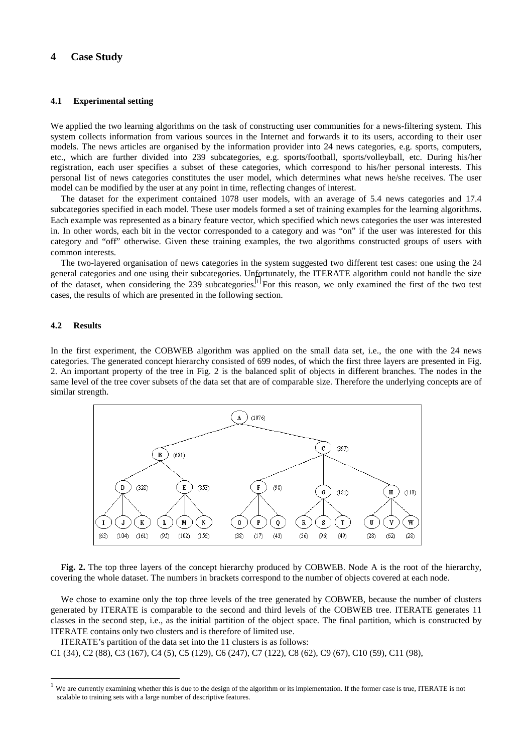### **4 Case Study**

#### **4.1 Experimental setting**

We applied the two learning algorithms on the task of constructing user communities for a news-filtering system. This system collects information from various sources in the Internet and forwards it to its users, according to their user models. The news articles are organised by the information provider into 24 news categories, e.g. sports, computers, etc., which are further divided into 239 subcategories, e.g. sports/football, sports/volleyball, etc. During his/her registration, each user specifies a subset of these categories, which correspond to his/her personal interests. This personal list of news categories constitutes the user model, which determines what news he/she receives. The user model can be modified by the user at any point in time, reflecting changes of interest.

The dataset for the experiment contained 1078 user models, with an average of 5.4 news categories and 17.4 subcategories specified in each model. These user models formed a set of training examples for the learning algorithms. Each example was represented as a binary feature vector, which specified which news categories the user was interested in. In other words, each bit in the vector corresponded to a category and was "on" if the user was interested for this category and "off" otherwise. Given these training examples, the two algorithms constructed groups of users with common interests.

The two-layered organisation of news categories in the system suggested two different test cases: one using the 24 general categories and one using their subcategories. Unfortunately, the ITERATE algorithm could not handle the size of the dataset, when considering the 239 subcategories.<sup>1</sup> For this reason, we only examined the first of the two test cases, the results of which are presented in the following section.

#### **4.2 Results**

 $\overline{\phantom{a}}$ 

In the first experiment, the COBWEB algorithm was applied on the small data set, i.e., the one with the 24 news categories. The generated concept hierarchy consisted of 699 nodes, of which the first three layers are presented in Fig. 2. An important property of the tree in Fig. 2 is the balanced split of objects in different branches. The nodes in the same level of the tree cover subsets of the data set that are of comparable size. Therefore the underlying concepts are of similar strength.



**Fig. 2.** The top three layers of the concept hierarchy produced by COBWEB. Node A is the root of the hierarchy, covering the whole dataset. The numbers in brackets correspond to the number of objects covered at each node.

We chose to examine only the top three levels of the tree generated by COBWEB, because the number of clusters generated by ITERATE is comparable to the second and third levels of the COBWEB tree. ITERATE generates 11 classes in the second step, i.e., as the initial partition of the object space. The final partition, which is constructed by ITERATE contains only two clusters and is therefore of limited use.

ITERATE's partition of the data set into the 11 clusters is as follows: C1 (34), C2 (88), C3 (167), C4 (5), C5 (129), C6 (247), C7 (122), C8 (62), C9 (67), C10 (59), C11 (98),

<sup>1</sup> We are currently examining whether this is due to the design of the algorithm or its implementation. If the former case is true, ITERATE is not scalable to training sets with a large number of descriptive features.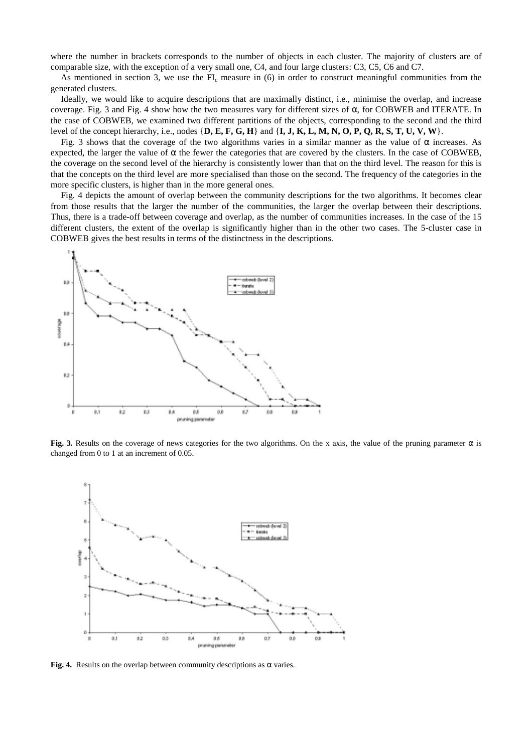where the number in brackets corresponds to the number of objects in each cluster. The majority of clusters are of comparable size, with the exception of a very small one, C4, and four large clusters: C3, C5, C6 and C7.

As mentioned in section 3, we use the FL measure in (6) in order to construct meaningful communities from the generated clusters.

Ideally, we would like to acquire descriptions that are maximally distinct, i.e., minimise the overlap, and increase coverage. Fig. 3 and Fig. 4 show how the two measures vary for different sizes of α, for COBWEB and ITERATE. In the case of COBWEB, we examined two different partitions of the objects, corresponding to the second and the third level of the concept hierarchy, i.e., nodes {**D, E, F, G, H**} and {**I, J, K, L, M, N, O, P, Q, R, S, T, U, V, W**}.

Fig. 3 shows that the coverage of the two algorithms varies in a similar manner as the value of  $\alpha$  increases. As expected, the larger the value of  $\alpha$  the fewer the categories that are covered by the clusters. In the case of COBWEB, the coverage on the second level of the hierarchy is consistently lower than that on the third level. The reason for this is that the concepts on the third level are more specialised than those on the second. The frequency of the categories in the more specific clusters, is higher than in the more general ones.

Fig. 4 depicts the amount of overlap between the community descriptions for the two algorithms. It becomes clear from those results that the larger the number of the communities, the larger the overlap between their descriptions. Thus, there is a trade-off between coverage and overlap, as the number of communities increases. In the case of the 15 different clusters, the extent of the overlap is significantly higher than in the other two cases. The 5-cluster case in COBWEB gives the best results in terms of the distinctness in the descriptions.



**Fig. 3.** Results on the coverage of news categories for the two algorithms. On the x axis, the value of the pruning parameter  $\alpha$  is changed from 0 to 1 at an increment of 0.05.



**Fig. 4.** Results on the overlap between community descriptions as  $\alpha$  varies.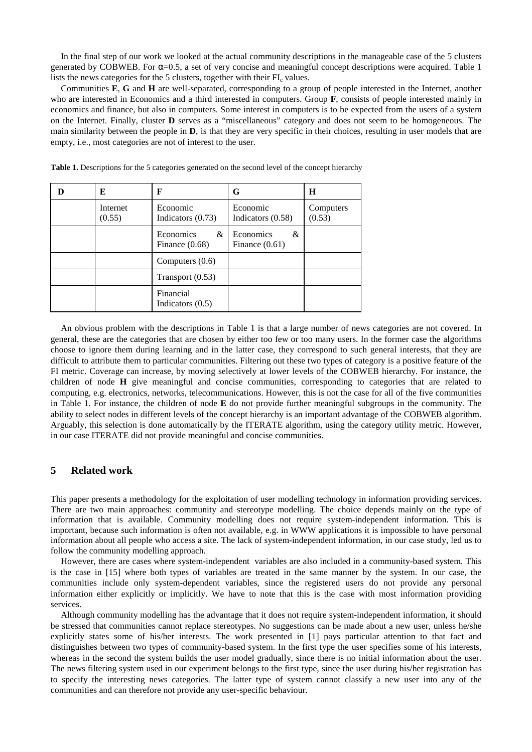In the final step of our work we looked at the actual community descriptions in the manageable case of the 5 clusters generated by COBWEB. For  $\alpha = 0.5$ , a set of very concise and meaningful concept descriptions were acquired. Table 1 lists the news categories for the 5 clusters, together with their FL values.

Communities **E**, **G** and **H** are well-separated, corresponding to a group of people interested in the Internet, another who are interested in Economics and a third interested in computers. Group **F**, consists of people interested mainly in economics and finance, but also in computers. Some interest in computers is to be expected from the users of a system on the Internet. Finally, cluster **D** serves as a "miscellaneous" category and does not seem to be homogeneous. The main similarity between the people in **D**, is that they are very specific in their choices, resulting in user models that are empty, i.e., most categories are not of interest to the user.

| Е                  | F                                  | G                                  | H                   |
|--------------------|------------------------------------|------------------------------------|---------------------|
| Internet<br>(0.55) | Economic<br>Indicators $(0.73)$    | Economic<br>Indicators $(0.58)$    | Computers<br>(0.53) |
|                    | Economics<br>&<br>Finance $(0.68)$ | Economics<br>&<br>Finance $(0.61)$ |                     |
|                    | Computers $(0.6)$                  |                                    |                     |
|                    | Transport (0.53)                   |                                    |                     |
|                    | Financial<br>Indicators $(0.5)$    |                                    |                     |

**Table 1.** Descriptions for the 5 categories generated on the second level of the concept hierarchy

An obvious problem with the descriptions in Table 1 is that a large number of news categories are not covered. In general, these are the categories that are chosen by either too few or too many users. In the former case the algorithms choose to ignore them during learning and in the latter case, they correspond to such general interests, that they are difficult to attribute them to particular communities. Filtering out these two types of category is a positive feature of the FI metric. Coverage can increase, by moving selectively at lower levels of the COBWEB hierarchy. For instance, the children of node **H** give meaningful and concise communities, corresponding to categories that are related to computing, e.g. electronics, networks, telecommunications. However, this is not the case for all of the five communities in Table 1. For instance, the children of node **E** do not provide further meaningful subgroups in the community. The ability to select nodes in different levels of the concept hierarchy is an important advantage of the COBWEB algorithm. Arguably, this selection is done automatically by the ITERATE algorithm, using the category utility metric. However, in our case ITERATE did not provide meaningful and concise communities.

### **5 Related work**

This paper presents a methodology for the exploitation of user modelling technology in information providing services. There are two main approaches: community and stereotype modelling. The choice depends mainly on the type of information that is available. Community modelling does not require system-independent information. This is important, because such information is often not available, e.g. in WWW applications it is impossible to have personal information about all people who access a site. The lack of system-independent information, in our case study, led us to follow the community modelling approach.

However, there are cases where system-independent variables are also included in a community-based system. This is the case in [15] where both types of variables are treated in the same manner by the system. In our case, the communities include only system-dependent variables, since the registered users do not provide any personal information either explicitly or implicitly. We have to note that this is the case with most information providing services.

Although community modelling has the advantage that it does not require system-independent information, it should be stressed that communities cannot replace stereotypes. No suggestions can be made about a new user, unless he/she explicitly states some of his/her interests. The work presented in [1] pays particular attention to that fact and distinguishes between two types of community-based system. In the first type the user specifies some of his interests, whereas in the second the system builds the user model gradually, since there is no initial information about the user. The news filtering system used in our experiment belongs to the first type, since the user during his/her registration has to specify the interesting news categories. The latter type of system cannot classify a new user into any of the communities and can therefore not provide any user-specific behaviour.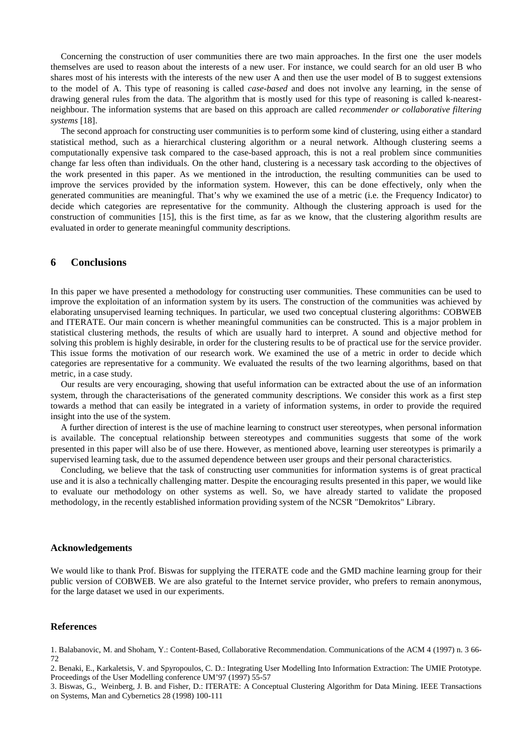Concerning the construction of user communities there are two main approaches. In the first one the user models themselves are used to reason about the interests of a new user. For instance, we could search for an old user B who shares most of his interests with the interests of the new user A and then use the user model of B to suggest extensions to the model of A. This type of reasoning is called *case-based* and does not involve any learning, in the sense of drawing general rules from the data. The algorithm that is mostly used for this type of reasoning is called k-nearestneighbour. The information systems that are based on this approach are called *recommender or collaborative filtering systems* [18].

The second approach for constructing user communities is to perform some kind of clustering, using either a standard statistical method, such as a hierarchical clustering algorithm or a neural network. Although clustering seems a computationally expensive task compared to the case-based approach, this is not a real problem since communities change far less often than individuals. On the other hand, clustering is a necessary task according to the objectives of the work presented in this paper. As we mentioned in the introduction, the resulting communities can be used to improve the services provided by the information system. However, this can be done effectively, only when the generated communities are meaningful. That's why we examined the use of a metric (i.e. the Frequency Indicator) to decide which categories are representative for the community. Although the clustering approach is used for the construction of communities [15], this is the first time, as far as we know, that the clustering algorithm results are evaluated in order to generate meaningful community descriptions.

### **6 Conclusions**

In this paper we have presented a methodology for constructing user communities. These communities can be used to improve the exploitation of an information system by its users. The construction of the communities was achieved by elaborating unsupervised learning techniques. In particular, we used two conceptual clustering algorithms: COBWEB and ITERATE. Our main concern is whether meaningful communities can be constructed. This is a major problem in statistical clustering methods, the results of which are usually hard to interpret. A sound and objective method for solving this problem is highly desirable, in order for the clustering results to be of practical use for the service provider. This issue forms the motivation of our research work. We examined the use of a metric in order to decide which categories are representative for a community. We evaluated the results of the two learning algorithms, based on that metric, in a case study.

Our results are very encouraging, showing that useful information can be extracted about the use of an information system, through the characterisations of the generated community descriptions. We consider this work as a first step towards a method that can easily be integrated in a variety of information systems, in order to provide the required insight into the use of the system.

A further direction of interest is the use of machine learning to construct user stereotypes, when personal information is available. The conceptual relationship between stereotypes and communities suggests that some of the work presented in this paper will also be of use there. However, as mentioned above, learning user stereotypes is primarily a supervised learning task, due to the assumed dependence between user groups and their personal characteristics.

Concluding, we believe that the task of constructing user communities for information systems is of great practical use and it is also a technically challenging matter. Despite the encouraging results presented in this paper, we would like to evaluate our methodology on other systems as well. So, we have already started to validate the proposed methodology, in the recently established information providing system of the NCSR "Demokritos" Library.

### **Acknowledgements**

We would like to thank Prof. Biswas for supplying the ITERATE code and the GMD machine learning group for their public version of COBWEB. We are also grateful to the Internet service provider, who prefers to remain anonymous, for the large dataset we used in our experiments.

### **References**

1. Balabanovic, M. and Shoham, Y.: Content-Based, Collaborative Recommendation. Communications of the ACM 4 (1997) n. 3 66- 72

<sup>2.</sup> Benaki, E., Karkaletsis, V. and Spyropoulos, C. D.: Integrating User Modelling Into Information Extraction: The UMIE Prototype. Proceedings of the User Modelling conference UM'97 (1997) 55-57

<sup>3.</sup> Biswas, G., Weinberg, J. B. and Fisher, D.: ITERATE: A Conceptual Clustering Algorithm for Data Mining. IEEE Transactions on Systems, Man and Cybernetics 28 (1998) 100-111